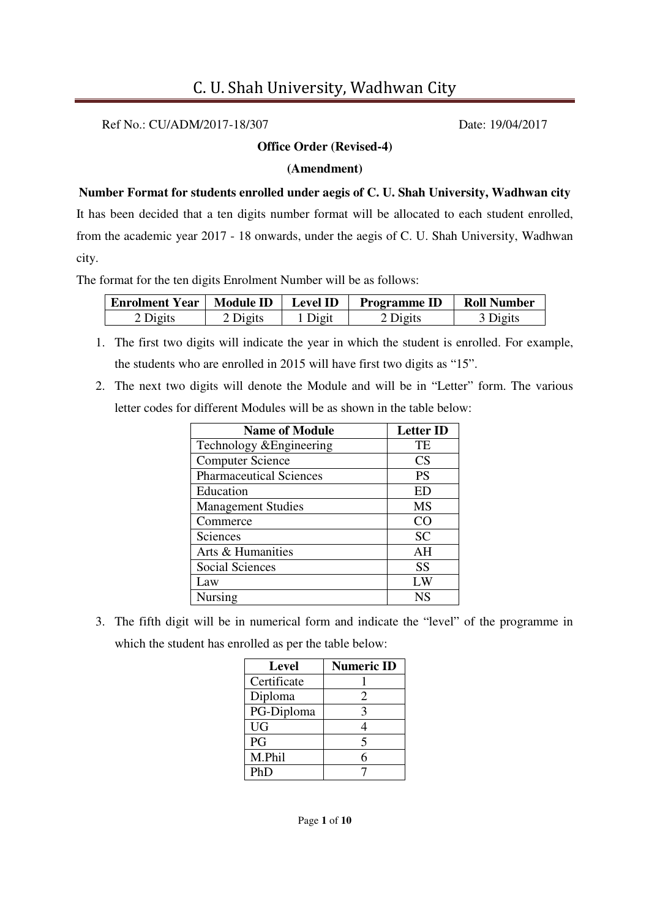Ref No.: CU/ADM/2017-18/307 Date: 19/04/2017

#### **Office Order (Revised-4)**

#### **(Amendment)**

**Number Format for students enrolled under aegis of C. U. Shah University, Wadhwan city**  It has been decided that a ten digits number format will be allocated to each student enrolled, from the academic year 2017 - 18 onwards, under the aegis of C. U. Shah University, Wadhwan city.

The format for the ten digits Enrolment Number will be as follows:

| <b>Enrolment Year</b> | <b>Module ID</b>    | <b>Level ID</b> | <b>Programme ID</b> | <b>Roll Number</b>  |
|-----------------------|---------------------|-----------------|---------------------|---------------------|
| 2 Digits              | <sup>o</sup> Digits | Digit           | 2 Digits            | <sup>3</sup> Digits |

- 1. The first two digits will indicate the year in which the student is enrolled. For example, the students who are enrolled in 2015 will have first two digits as "15".
- 2. The next two digits will denote the Module and will be in "Letter" form. The various letter codes for different Modules will be as shown in the table below:

| <b>Name of Module</b>          | <b>Letter ID</b> |
|--------------------------------|------------------|
| Technology & Engineering       | TE               |
| <b>Computer Science</b>        | <b>CS</b>        |
| <b>Pharmaceutical Sciences</b> | <b>PS</b>        |
| Education                      | ED               |
| <b>Management Studies</b>      | MS               |
| Commerce                       | CO               |
| Sciences                       | <b>SC</b>        |
| Arts & Humanities              | AH               |
| Social Sciences                | <b>SS</b>        |
| Law                            | LW               |
| Nursing                        | NS               |

3. The fifth digit will be in numerical form and indicate the "level" of the programme in which the student has enrolled as per the table below:

| Level       | <b>Numeric ID</b> |
|-------------|-------------------|
| Certificate |                   |
| Diploma     | 2                 |
| PG-Diploma  | 3                 |
| <b>UG</b>   | 4                 |
| PG          | 5                 |
| M.Phil      | 6                 |
| PhD         |                   |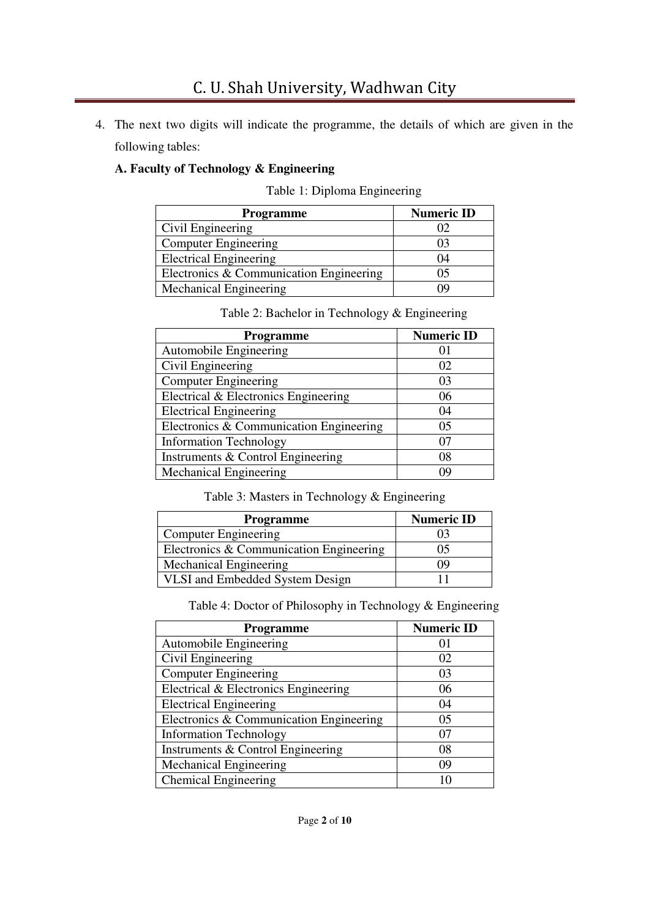4. The next two digits will indicate the programme, the details of which are given in the following tables:

## **A. Faculty of Technology & Engineering**

Table 1: Diploma Engineering

| <b>Programme</b>                        | <b>Numeric ID</b> |
|-----------------------------------------|-------------------|
| Civil Engineering                       |                   |
| <b>Computer Engineering</b>             | 03                |
| <b>Electrical Engineering</b>           | 04                |
| Electronics & Communication Engineering | 05                |
| <b>Mechanical Engineering</b>           | 19                |

Table 2: Bachelor in Technology & Engineering

| <b>Programme</b>                        | <b>Numeric ID</b> |
|-----------------------------------------|-------------------|
| Automobile Engineering                  |                   |
| Civil Engineering                       | 02                |
| <b>Computer Engineering</b>             | 03                |
| Electrical & Electronics Engineering    | 06                |
| <b>Electrical Engineering</b>           | 04                |
| Electronics & Communication Engineering | 05                |
| <b>Information Technology</b>           | 07                |
| Instruments & Control Engineering       | 08                |
| Mechanical Engineering                  | 09                |

Table 3: Masters in Technology & Engineering

| <b>Programme</b>                        | <b>Numeric ID</b> |
|-----------------------------------------|-------------------|
| <b>Computer Engineering</b>             |                   |
| Electronics & Communication Engineering | 05                |
| <b>Mechanical Engineering</b>           | ( ) ( )           |
| VLSI and Embedded System Design         |                   |

Table 4: Doctor of Philosophy in Technology & Engineering

| Programme                               | <b>Numeric ID</b> |
|-----------------------------------------|-------------------|
| Automobile Engineering                  |                   |
| Civil Engineering                       | 02                |
| <b>Computer Engineering</b>             | 03                |
| Electrical & Electronics Engineering    | 06                |
| <b>Electrical Engineering</b>           | 04                |
| Electronics & Communication Engineering | 05                |
| <b>Information Technology</b>           | 07                |
| Instruments & Control Engineering       | 08                |
| Mechanical Engineering                  | 09                |
| <b>Chemical Engineering</b>             |                   |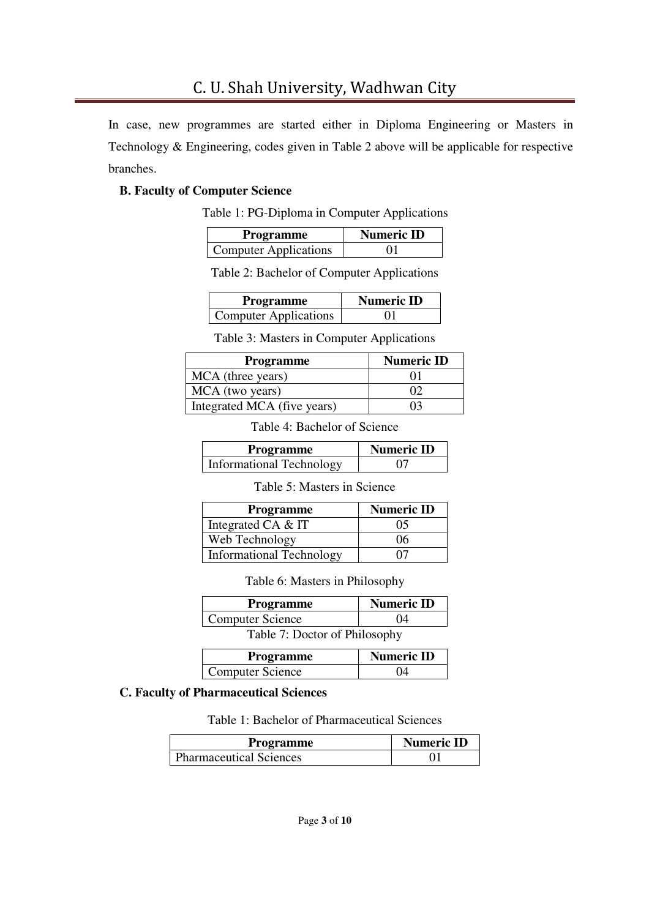In case, new programmes are started either in Diploma Engineering or Masters in Technology & Engineering, codes given in Table 2 above will be applicable for respective branches.

## **B. Faculty of Computer Science**

Table 1: PG-Diploma in Computer Applications

| <b>Programme</b>             | <b>Numeric ID</b> |
|------------------------------|-------------------|
| <b>Computer Applications</b> |                   |

Table 2: Bachelor of Computer Applications

| <b>Programme</b>             | <b>Numeric ID</b> |
|------------------------------|-------------------|
| <b>Computer Applications</b> | 01                |

Table 3: Masters in Computer Applications

| <b>Programme</b>            | <b>Numeric ID</b> |
|-----------------------------|-------------------|
| MCA (three years)           |                   |
| MCA (two years)             |                   |
| Integrated MCA (five years) | 03                |

Table 4: Bachelor of Science

| <b>Programme</b>                | <b>Numeric ID</b> |
|---------------------------------|-------------------|
| <b>Informational Technology</b> |                   |

Table 5: Masters in Science

| <b>Programme</b>                | <b>Numeric ID</b> |
|---------------------------------|-------------------|
| Integrated CA & IT              | 05                |
| Web Technology                  | 06                |
| <b>Informational Technology</b> |                   |

Table 6: Masters in Philosophy

| <b>Programme</b>              | <b>Numeric ID</b> |  |
|-------------------------------|-------------------|--|
| <b>Computer Science</b>       | 04                |  |
| Table 7: Doctor of Philosophy |                   |  |

| <b>Programme</b>        | <b>Numeric ID</b> |
|-------------------------|-------------------|
| <b>Computer Science</b> | 04                |

## **C. Faculty of Pharmaceutical Sciences**

Table 1: Bachelor of Pharmaceutical Sciences

| Programme                      | <b>Numeric ID</b> |
|--------------------------------|-------------------|
| <b>Pharmaceutical Sciences</b> |                   |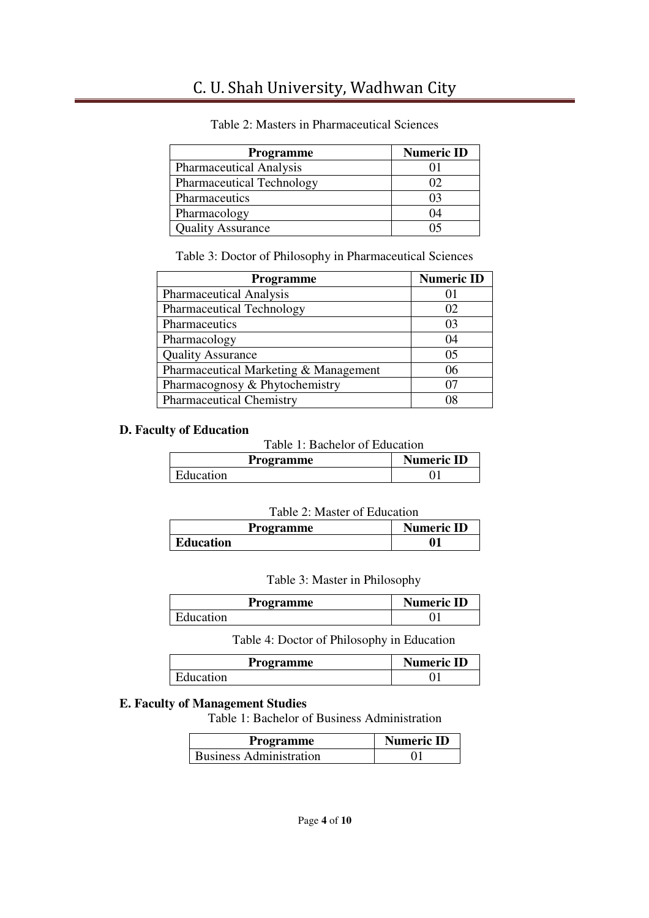| Programme                        | <b>Numeric ID</b> |
|----------------------------------|-------------------|
| <b>Pharmaceutical Analysis</b>   |                   |
| <b>Pharmaceutical Technology</b> |                   |
| Pharmaceutics                    |                   |
| Pharmacology                     | ٦4                |
| <b>Quality Assurance</b>         |                   |

#### Table 2: Masters in Pharmaceutical Sciences

Table 3: Doctor of Philosophy in Pharmaceutical Sciences

| <b>Programme</b>                      | <b>Numeric ID</b> |
|---------------------------------------|-------------------|
| <b>Pharmaceutical Analysis</b>        |                   |
| <b>Pharmaceutical Technology</b>      | 02                |
| Pharmaceutics                         | 03                |
| Pharmacology                          | 04                |
| <b>Quality Assurance</b>              | 0 <sub>5</sub>    |
| Pharmaceutical Marketing & Management | 06                |
| Pharmacognosy & Phytochemistry        | ሰ7                |
| <b>Pharmaceutical Chemistry</b>       | N8                |

#### **D. Faculty of Education**

Table 1: Bachelor of Education

| Programme | <b>Numeric ID</b> |
|-----------|-------------------|
| Education |                   |

#### Table 2: Master of Education

| Programme        | <b>Numeric ID</b> |
|------------------|-------------------|
| <b>Education</b> |                   |

#### Table 3: Master in Philosophy

| Programme | <b>Numeric ID</b> |
|-----------|-------------------|
| Education |                   |

Table 4: Doctor of Philosophy in Education

| Programme | <b>Numeric ID</b> |
|-----------|-------------------|
| Education |                   |

## **E. Faculty of Management Studies**

Table 1: Bachelor of Business Administration

| <b>Programme</b>               | <b>Numeric ID</b> |
|--------------------------------|-------------------|
| <b>Business Administration</b> |                   |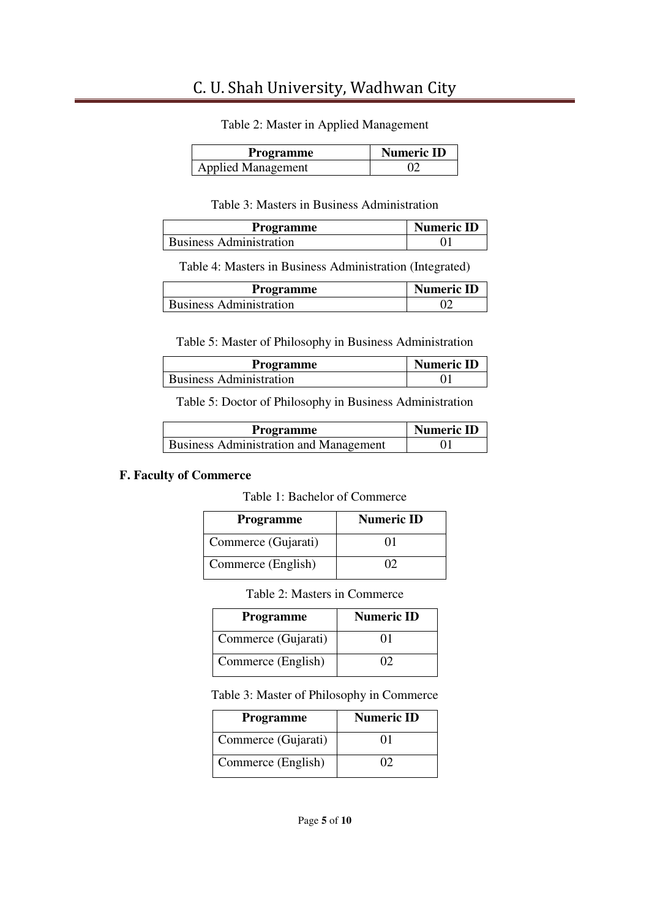| Table 2: Master in Applied Management |  |  |  |
|---------------------------------------|--|--|--|
|---------------------------------------|--|--|--|

| <b>Programme</b>          | <b>Numeric ID</b> |
|---------------------------|-------------------|
| <b>Applied Management</b> |                   |

#### Table 3: Masters in Business Administration

| <b>Programme</b>               | <b>Numeric ID</b> |
|--------------------------------|-------------------|
| <b>Business Administration</b> |                   |

Table 4: Masters in Business Administration (Integrated)

| Programme                      | <b>Numeric ID</b> |
|--------------------------------|-------------------|
| <b>Business Administration</b> |                   |

Table 5: Master of Philosophy in Business Administration

| Programme                      | <b>Numeric ID</b> |
|--------------------------------|-------------------|
| <b>Business Administration</b> |                   |

Table 5: Doctor of Philosophy in Business Administration

| Programme                                     | <b>Numeric ID</b> |
|-----------------------------------------------|-------------------|
| <b>Business Administration and Management</b> |                   |

#### **F. Faculty of Commerce**

Table 1: Bachelor of Commerce

| <b>Programme</b>    | <b>Numeric ID</b> |
|---------------------|-------------------|
| Commerce (Gujarati) | 01                |
| Commerce (English)  |                   |

Table 2: Masters in Commerce

| <b>Programme</b>    | <b>Numeric ID</b> |
|---------------------|-------------------|
| Commerce (Gujarati) | 01                |
| Commerce (English)  | Ω                 |

Table 3: Master of Philosophy in Commerce

| <b>Programme</b>    | <b>Numeric ID</b> |
|---------------------|-------------------|
| Commerce (Gujarati) | 01                |
| Commerce (English)  | Ω                 |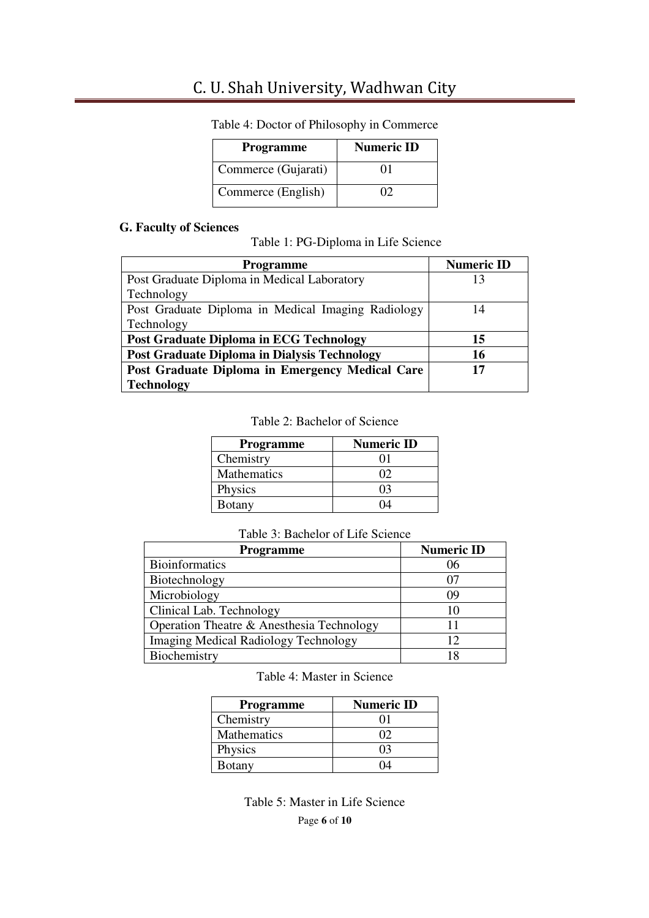| <b>Programme</b>    | <b>Numeric ID</b> |
|---------------------|-------------------|
| Commerce (Gujarati) | 9 H L             |
| Commerce (English)  | Ω                 |

Table 4: Doctor of Philosophy in Commerce

#### **G. Faculty of Sciences**

Table 1: PG-Diploma in Life Science

| <b>Programme</b>                                    | <b>Numeric ID</b> |
|-----------------------------------------------------|-------------------|
| Post Graduate Diploma in Medical Laboratory         | 13                |
| Technology                                          |                   |
| Post Graduate Diploma in Medical Imaging Radiology  | 14                |
| Technology                                          |                   |
| <b>Post Graduate Diploma in ECG Technology</b>      | 15                |
| <b>Post Graduate Diploma in Dialysis Technology</b> | 16                |
| Post Graduate Diploma in Emergency Medical Care     | 17                |
| <b>Technology</b>                                   |                   |

Table 2: Bachelor of Science

| <b>Programme</b>   | <b>Numeric ID</b> |
|--------------------|-------------------|
| Chemistry          |                   |
| <b>Mathematics</b> | O2                |
| Physics            | l I 3             |
| Botany             |                   |

#### Table 3: Bachelor of Life Science

| <b>Programme</b>                            | <b>Numeric ID</b> |
|---------------------------------------------|-------------------|
| <b>Bioinformatics</b>                       | 06                |
| Biotechnology                               | 07                |
| Microbiology                                | 09                |
| Clinical Lab. Technology                    | 10                |
| Operation Theatre & Anesthesia Technology   |                   |
| <b>Imaging Medical Radiology Technology</b> | 12                |
| Biochemistry                                |                   |

Table 4: Master in Science

| <b>Programme</b> | <b>Numeric ID</b> |
|------------------|-------------------|
| Chemistry        |                   |
| Mathematics      | ( ) 7             |
| Physics          | 03                |
| Botany           |                   |

Page **6** of **10** Table 5: Master in Life Science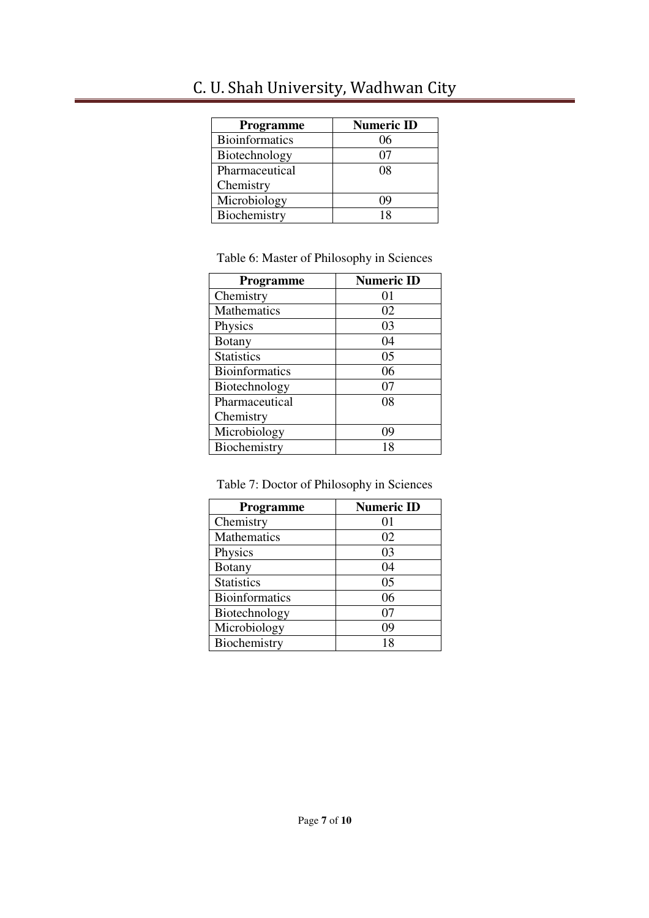| <b>Programme</b>      | <b>Numeric ID</b> |
|-----------------------|-------------------|
| <b>Bioinformatics</b> | 06                |
| Biotechnology         | 07                |
| Pharmaceutical        | 08                |
| Chemistry             |                   |
| Microbiology          | ' JC              |
| Biochemistry          | 18                |

Table 6: Master of Philosophy in Sciences

| <b>Programme</b>      | <b>Numeric ID</b> |
|-----------------------|-------------------|
| Chemistry             | 01                |
| Mathematics           | 02                |
| Physics               | 03                |
| Botany                | 04                |
| <b>Statistics</b>     | 05                |
| <b>Bioinformatics</b> | 06                |
| Biotechnology         | 07                |
| Pharmaceutical        | 08                |
| Chemistry             |                   |
| Microbiology          | 09                |
| Biochemistry          | 18                |

Table 7: Doctor of Philosophy in Sciences

| Programme             | <b>Numeric ID</b> |
|-----------------------|-------------------|
| Chemistry             | $\Omega$          |
| Mathematics           | 02                |
| Physics               | 03                |
| <b>Botany</b>         | 04                |
| <b>Statistics</b>     | 05                |
| <b>Bioinformatics</b> | 06                |
| Biotechnology         | 07                |
| Microbiology          | 09                |
| Biochemistry          | 18                |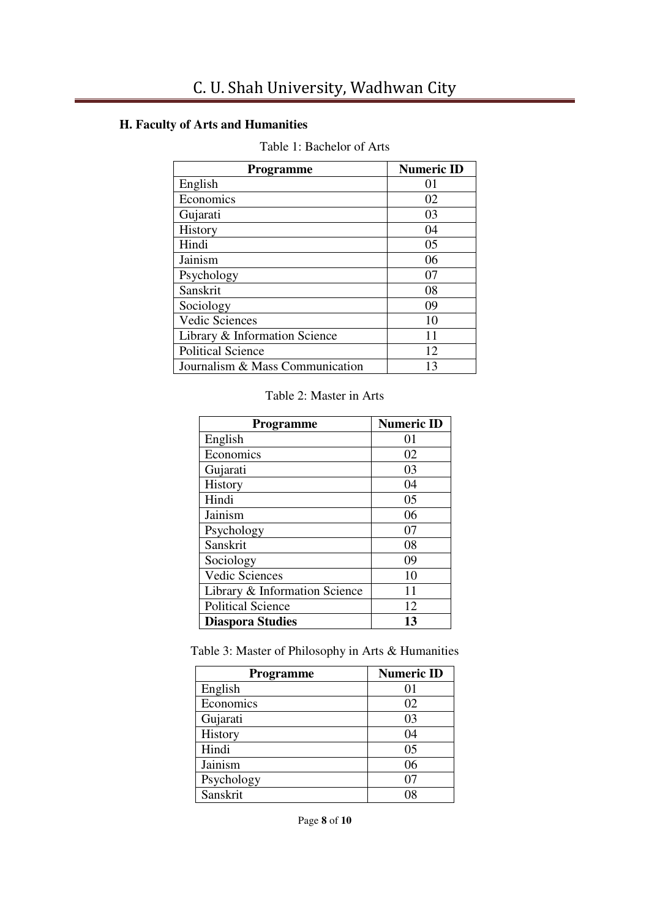## **H. Faculty of Arts and Humanities**

| <b>Programme</b>                | <b>Numeric ID</b> |
|---------------------------------|-------------------|
| English                         | 01                |
| Economics                       | 02                |
| Gujarati                        | 03                |
| History                         | 04                |
| Hindi                           | 05                |
| Jainism                         | 06                |
| Psychology                      | 07                |
| Sanskrit                        | 08                |
| Sociology                       | 09                |
| Vedic Sciences                  | 10                |
| Library & Information Science   | 11                |
| <b>Political Science</b>        | 12                |
| Journalism & Mass Communication | 13                |

## Table 1: Bachelor of Arts

#### Table 2: Master in Arts

| <b>Programme</b>              | <b>Numeric ID</b> |
|-------------------------------|-------------------|
| English                       | 01                |
| Economics                     | 02                |
| Gujarati                      | 03                |
| History                       | 04                |
| Hindi                         | 05                |
| Jainism                       | 06                |
| Psychology                    | 07                |
| Sanskrit                      | 08                |
| Sociology                     | 09                |
| <b>Vedic Sciences</b>         | 10                |
| Library & Information Science | 11                |
| <b>Political Science</b>      | 12                |
| <b>Diaspora Studies</b>       | 13                |

Table 3: Master of Philosophy in Arts & Humanities

| Programme  | <b>Numeric ID</b> |
|------------|-------------------|
| English    | 01                |
| Economics  | 02                |
| Gujarati   | 03                |
| History    | 04                |
| Hindi      | 05                |
| Jainism    | 06                |
| Psychology |                   |
| Sanskrit   |                   |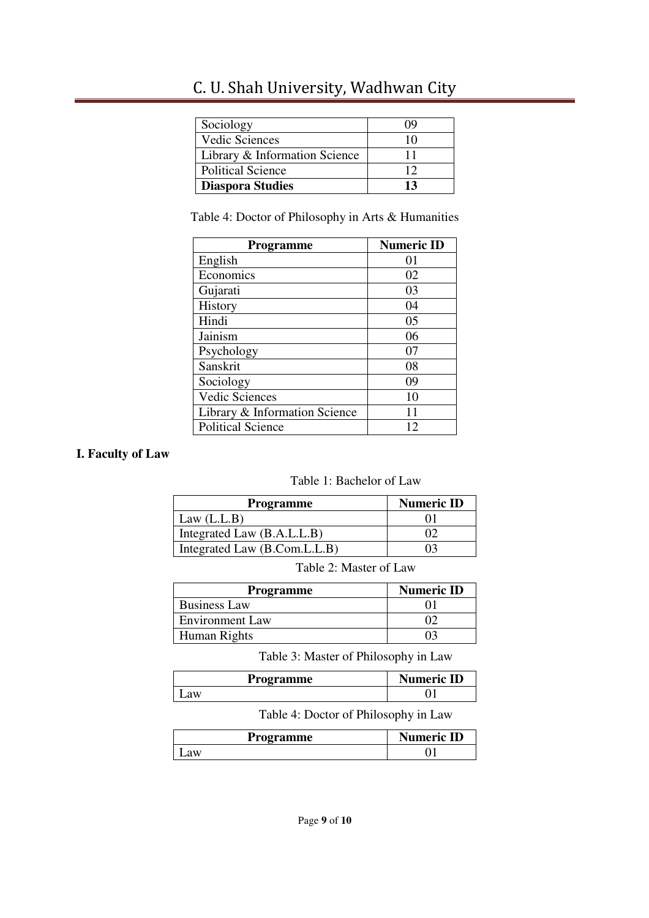| Sociology                     | ()9 |
|-------------------------------|-----|
| <b>Vedic Sciences</b>         | 10  |
| Library & Information Science |     |
| <b>Political Science</b>      | 12  |
| <b>Diaspora Studies</b>       | 13  |

Table 4: Doctor of Philosophy in Arts & Humanities

| Programme                     | <b>Numeric ID</b> |
|-------------------------------|-------------------|
| English                       | 01                |
| Economics                     | 02                |
| Gujarati                      | 03                |
| History                       | 04                |
| Hindi                         | 05                |
| Jainism                       | 06                |
| Psychology                    | 07                |
| Sanskrit                      | 08                |
| Sociology                     | 09                |
| <b>Vedic Sciences</b>         | 10                |
| Library & Information Science | 11                |
| <b>Political Science</b>      | 12                |

## **I. Faculty of Law**

#### Table 1: Bachelor of Law

| <b>Programme</b>             | <b>Numeric ID</b> |
|------------------------------|-------------------|
| Law $(L.L.B)$                |                   |
| Integrated Law (B.A.L.L.B)   |                   |
| Integrated Law (B.Com.L.L.B) |                   |

Table 2: Master of Law

| <b>Programme</b>       | <b>Numeric ID</b> |
|------------------------|-------------------|
| <b>Business Law</b>    |                   |
| <b>Environment Law</b> |                   |
| Human Rights           |                   |

Table 3: Master of Philosophy in Law

| Programme | <b>Numeric ID</b> |
|-----------|-------------------|
| Law       |                   |
|           |                   |

Table 4: Doctor of Philosophy in Law

| <b>Programme</b> | <b>Numeric ID</b> |
|------------------|-------------------|
| аw               |                   |